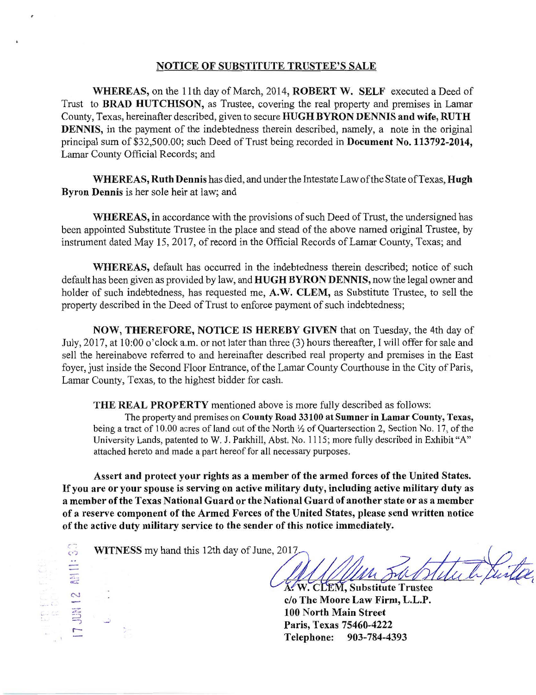## NOTICE OF SUBSTITUTE TRUSTEE'S SALE

WHEREAS, on the 11th day of March, 2014, ROBERT W. SELF executed a Deed of Trust to BRAD HUTCHISON, as Trustee, covering the real property and premises in Lamar County, Texas, hereinafter described, given to secure HUGH BYRON DENNIS and wife, RUTH DENNIS, in the payment of the indebtedness therein described, namely, a note in the original principal sum of \$32,500.00; such Deed of Trust being recorded in Document No. 113792-2014, Lamar County Official Records; and

WHEREAS, Ruth Dennis has died, and under the Intestate Law of the State of Texas, Hugh Byron Dennis is her sole heir at law; and

WHEREAS, in accordance with the provisions of such Deed of Trust, the undersigned has been appointed Substitute Trustee in the place and stead of the above named original Trustee, by instrument dated May 15, 2017, of record in the Official Records of Lamar County, Texas; and

WHEREAS, default has occurred in the indebtedness therein described; notice of such default has been given as provided by law, and HUGH BYRON DENNIS, now the legal owner and holder of such indebtedness, has requested me, A.W. CLEM, as Substitute Trustee, to sell the property described in the Deed of Trust to enforce payment of such indebtedness;

NOW, THEREFORE, NOTICE IS HEREBY GIVEN that on Tuesday, the 4th day of July, 2017, at 10:00 o'clock a.m. or not later than three (3) hours thereafter, I will offer for sale and sell the hereinabove referred to and hereinafter described real property and premises in the East foyer, just inside the Second Floor Entrance, of the Lamar County Courthouse in the City of Paris, Lamar County, Texas, to the highest bidder for cash.

THE REAL PROPERTY mentioned above is more fully described as follows:

The property and premises on County Road 33100 at Sumner in Lamar County, Texas, being a tract of l 0.00 acres of land out of the North *Yi* of Quartersection 2, Section No. 17, of the University Lands, patented to W. J. Parkhill, Abst. No. 1115; more fully described in Exhibit "A" attached hereto and made a part hereof for all necessary purposes.

Assert and protect your rights as a member of the armed forces of the United States. If you are or your spouse is serving on active military duty, including active military duty as a member of the Texas National Guard or the National Guard of another state or as a member of a reserve component of the Armed Forces of the United States, please send written notice of the active duty military service to the sender of this notice immediately.

 $\sim$  WITNESS my hand this 12th day of June, 2017.

 $\scriptstyle\sim$ - $\overline{a}$  $\equiv$ -, r-

 $X$ . W. CLEM, Substitute Trustee

lo o The Moore Law Firm, L.L.P. Paris, Texas 75460-4222 . 903-784-4393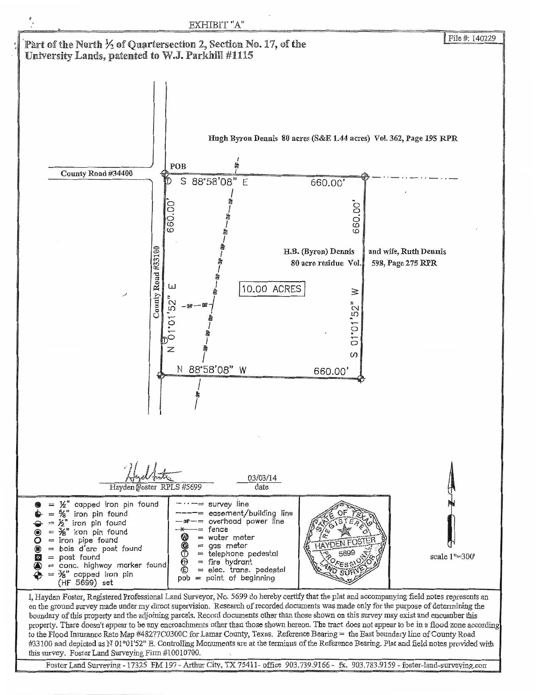

Foster Land Surveying - 17325 FM 197 - Arthur City, TX 75411- office 903.739.9166 - fx. 903.783.9159 - foster-land-surveying.com